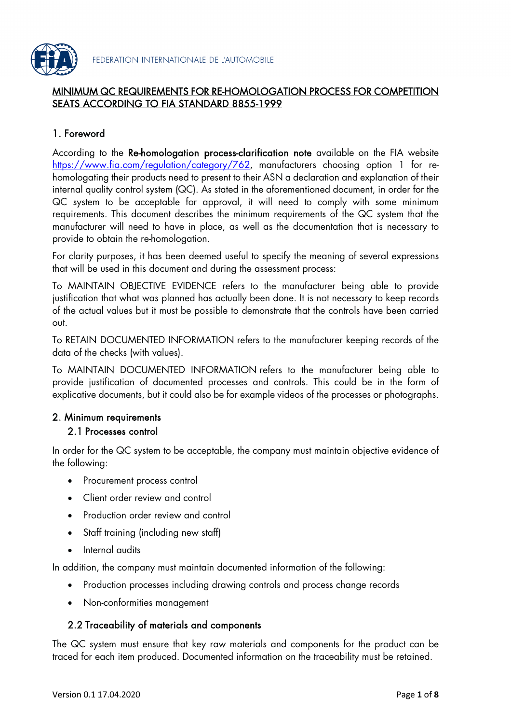

# MINIMUM QC REQUIREMENTS FOR RE-HOMOLOGATION PROCESS FOR COMPETITION SEATS ACCORDING TO FIA STANDARD 8855-1999

# 1. Foreword

According to the Re-homologation process-clarification note available on the FIA website <https://www.fia.com/regulation/category/762>, manufacturers choosing option 1 for rehomologating their products need to present to their ASN a declaration and explanation of their internal quality control system (QC). As stated in the aforementioned document, in order for the QC system to be acceptable for approval, it will need to comply with some minimum requirements. This document describes the minimum requirements of the QC system that the manufacturer will need to have in place, as well as the documentation that is necessary to provide to obtain the re-homologation.

For clarity purposes, it has been deemed useful to specify the meaning of several expressions that will be used in this document and during the assessment process:

To MAINTAIN OBJECTIVE EVIDENCE refers to the manufacturer being able to provide justification that what was planned has actually been done. It is not necessary to keep records of the actual values but it must be possible to demonstrate that the controls have been carried out.

To RETAIN DOCUMENTED INFORMATION refers to the manufacturer keeping records of the data of the checks (with values).

To MAINTAIN DOCUMENTED INFORMATION refers to the manufacturer being able to provide justification of documented processes and controls. This could be in the form of explicative documents, but it could also be for example videos of the processes or photographs.

# 2. Minimum requirements

#### 2.1 Processes control

In order for the QC system to be acceptable, the company must maintain objective evidence of the following:

- Procurement process control
- Client order review and control
- Production order review and control
- Staff training (including new staff)
- Internal audits

In addition, the company must maintain documented information of the following:

- Production processes including drawing controls and process change records
- Non-conformities management

# 2.2 Traceability of materials and components

The QC system must ensure that key raw materials and components for the product can be traced for each item produced. Documented information on the traceability must be retained.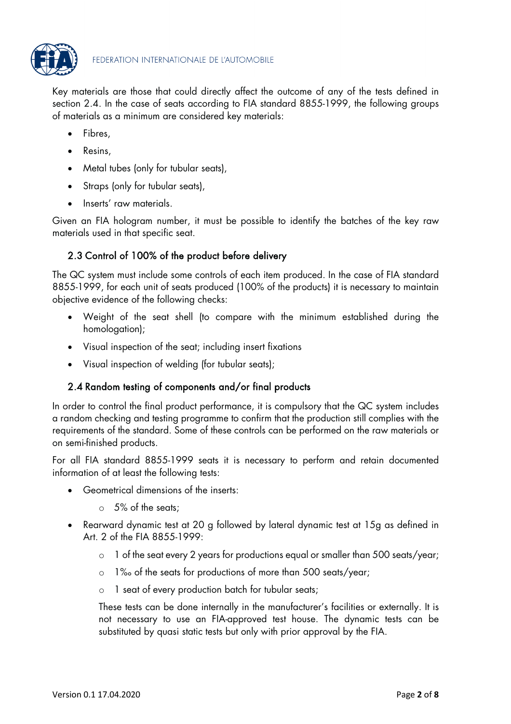

Key materials are those that could directly affect the outcome of any of the tests defined in section 2.4. In the case of seats according to FIA standard 8855-1999, the following groups of materials as a minimum are considered key materials:

- Fibres,
- Resins,
- Metal tubes (only for tubular seats),
- Straps (only for tubular seats),
- Inserts' raw materials.

Given an FIA hologram number, it must be possible to identify the batches of the key raw materials used in that specific seat.

# 2.3 Control of 100% of the product before delivery

The QC system must include some controls of each item produced. In the case of FIA standard 8855-1999, for each unit of seats produced (100% of the products) it is necessary to maintain objective evidence of the following checks:

- Weight of the seat shell (to compare with the minimum established during the homologation);
- Visual inspection of the seat; including insert fixations
- Visual inspection of welding (for tubular seats);

# 2.4 Random testing of components and/or final products

In order to control the final product performance, it is compulsory that the QC system includes a random checking and testing programme to confirm that the production still complies with the requirements of the standard. Some of these controls can be performed on the raw materials or on semi-finished products.

For all FIA standard 8855-1999 seats it is necessary to perform and retain documented information of at least the following tests:

- Geometrical dimensions of the inserts:
	- o 5% of the seats;
- Rearward dynamic test at 20 g followed by lateral dynamic test at 15g as defined in Art. 2 of the FIA 8855-1999:
	- o 1 of the seat every 2 years for productions equal or smaller than 500 seats/year;
	- o 1‰ of the seats for productions of more than 500 seats/year;
	- o 1 seat of every production batch for tubular seats;

These tests can be done internally in the manufacturer's facilities or externally. It is not necessary to use an FIA-approved test house. The dynamic tests can be substituted by quasi static tests but only with prior approval by the FIA.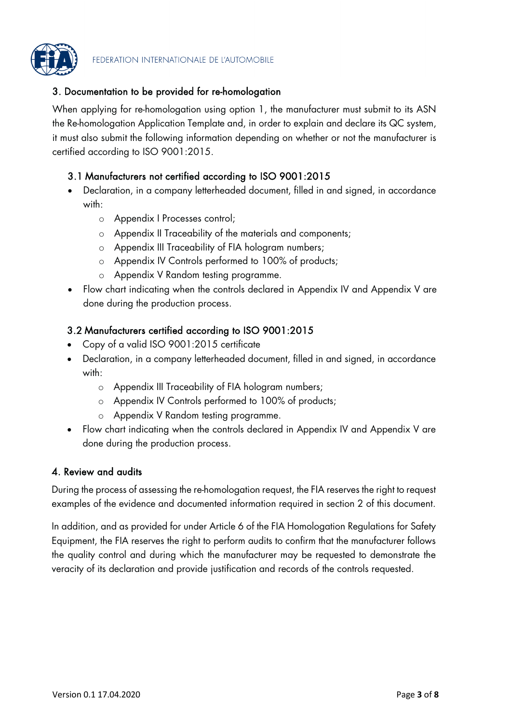

# 3. Documentation to be provided for re-homologation

When applying for re-homologation using option 1, the manufacturer must submit to its ASN the Re-homologation Application Template and, in order to explain and declare its QC system, it must also submit the following information depending on whether or not the manufacturer is certified according to ISO 9001:2015.

### 3.1 Manufacturers not certified according to ISO 9001:2015

- Declaration, in a company letterheaded document, filled in and signed, in accordance with:
	- o Appendix I Processes control;
	- o Appendix II Traceability of the materials and components;
	- o Appendix III Traceability of FIA hologram numbers;
	- o Appendix IV Controls performed to 100% of products;
	- o Appendix V Random testing programme.
- Flow chart indicating when the controls declared in Appendix IV and Appendix V are done during the production process.

### 3.2 Manufacturers certified according to ISO 9001:2015

- Copy of a valid ISO 9001:2015 certificate
- Declaration, in a company letterheaded document, filled in and signed, in accordance with:
	- o Appendix III Traceability of FIA hologram numbers;
	- o Appendix IV Controls performed to 100% of products;
	- o Appendix V Random testing programme.
- Flow chart indicating when the controls declared in Appendix IV and Appendix V are done during the production process.

#### 4. Review and audits

During the process of assessing the re-homologation request, the FIA reserves the right to request examples of the evidence and documented information required in section 2 of this document.

In addition, and as provided for under Article 6 of the FIA Homologation Regulations for Safety Equipment, the FIA reserves the right to perform audits to confirm that the manufacturer follows the quality control and during which the manufacturer may be requested to demonstrate the veracity of its declaration and provide justification and records of the controls requested.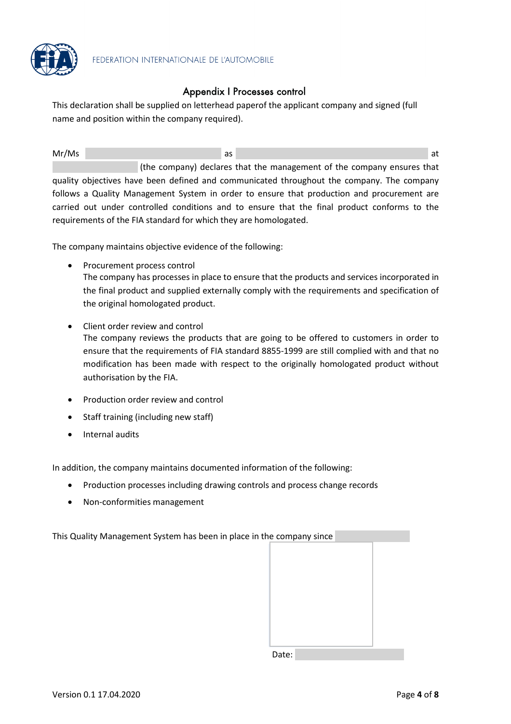

### Appendix I Processes control

This declaration shall be supplied on letterhead paperof the applicant company and signed (full name and position within the company required).

Mr/Ms and the contract of the contract of the contract of the contract of the contract of the contract of the contract of the contract of the contract of the contract of the contract of the contract of the contract of the (the company) declares that the management of the company ensures that quality objectives have been defined and communicated throughout the company. The company follows a Quality Management System in order to ensure that production and procurement are carried out under controlled conditions and to ensure that the final product conforms to the requirements of the FIA standard for which they are homologated.

The company maintains objective evidence of the following:

- Procurement process control The company has processes in place to ensure that the products and services incorporated in the final product and supplied externally comply with the requirements and specification of the original homologated product.
- Client order review and control The company reviews the products that are going to be offered to customers in order to ensure that the requirements of FIA standard 8855-1999 are still complied with and that no modification has been made with respect to the originally homologated product without authorisation by the FIA.
- Production order review and control
- Staff training (including new staff)
- Internal audits

In addition, the company maintains documented information of the following:

- Production processes including drawing controls and process change records
- Non-conformities management

This Quality Management System has been in place in the company since

Date: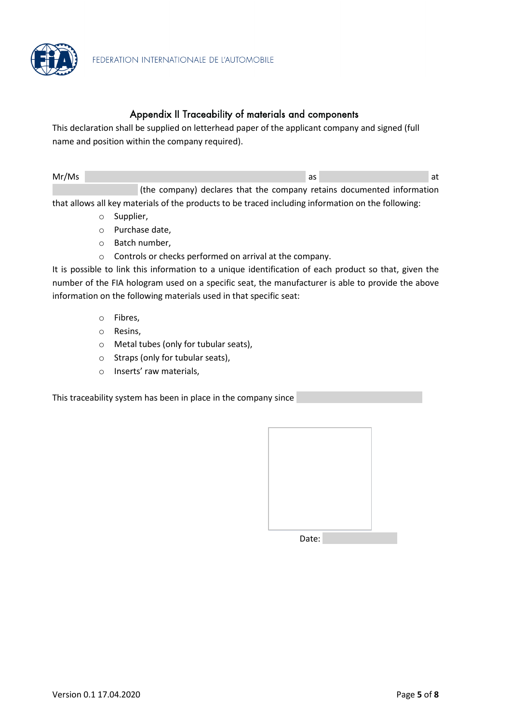

#### Appendix II Traceability of materials and components

This declaration shall be supplied on letterhead paper of the applicant company and signed (full name and position within the company required).

| Mr/Ms |                                                                        |  |  |  |  |
|-------|------------------------------------------------------------------------|--|--|--|--|
|       | (the company) declares that the company retains documented information |  |  |  |  |

that allows all key materials of the products to be traced including information on the following:

- o Supplier,
- o Purchase date,
- o Batch number,
- o Controls or checks performed on arrival at the company.

It is possible to link this information to a unique identification of each product so that, given the number of the FIA hologram used on a specific seat, the manufacturer is able to provide the above information on the following materials used in that specific seat:

- o Fibres,
- o Resins,
- o Metal tubes (only for tubular seats),
- o Straps (only for tubular seats),
- o Inserts' raw materials,

This traceability system has been in place in the company since

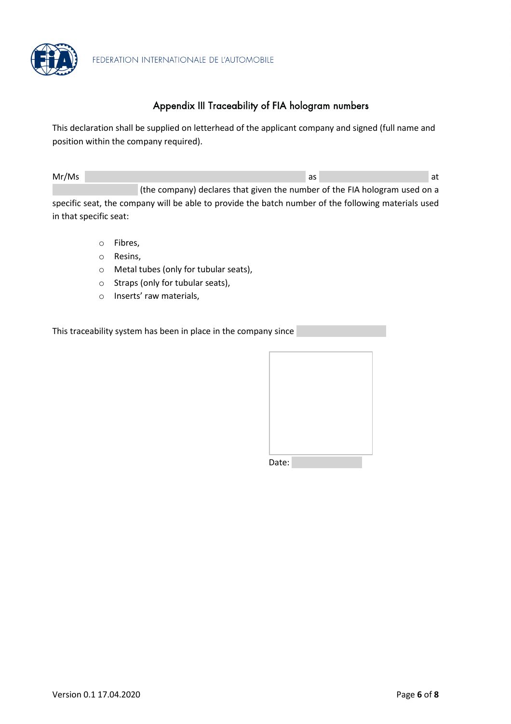

# Appendix III Traceability of FIA hologram numbers

This declaration shall be supplied on letterhead of the applicant company and signed (full name and position within the company required).

| Mr/Ms |                                                                            | as | at |
|-------|----------------------------------------------------------------------------|----|----|
|       | (the company) declares that given the number of the FIA hologram used on a |    |    |

specific seat, the company will be able to provide the batch number of the following materials used in that specific seat:

- o Fibres,
- o Resins,
- o Metal tubes (only for tubular seats),
- o Straps (only for tubular seats),
- o Inserts' raw materials,

This traceability system has been in place in the company since

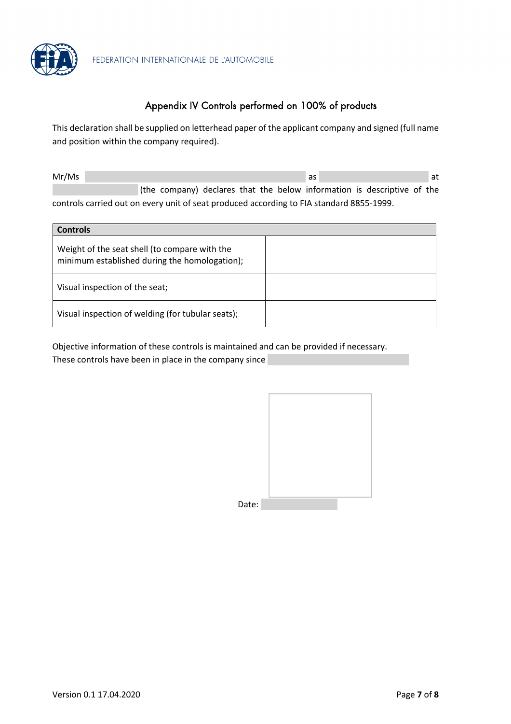

# Appendix IV Controls performed on 100% of products

This declaration shall be supplied on letterhead paper of the applicant company and signed (full name and position within the company required).

| Mr/Ms                                                                                    |  |  |  |  |  | as |  |  | at |  |                                                                         |  |  |
|------------------------------------------------------------------------------------------|--|--|--|--|--|----|--|--|----|--|-------------------------------------------------------------------------|--|--|
|                                                                                          |  |  |  |  |  |    |  |  |    |  | (the company) declares that the below information is descriptive of the |  |  |
| controls carried out on every unit of seat produced according to FIA standard 8855-1999. |  |  |  |  |  |    |  |  |    |  |                                                                         |  |  |

| <b>Controls</b>                                                                                |  |
|------------------------------------------------------------------------------------------------|--|
| Weight of the seat shell (to compare with the<br>minimum established during the homologation); |  |
| Visual inspection of the seat;                                                                 |  |
| Visual inspection of welding (for tubular seats);                                              |  |

Objective information of these controls is maintained and can be provided if necessary. These controls have been in place in the company since